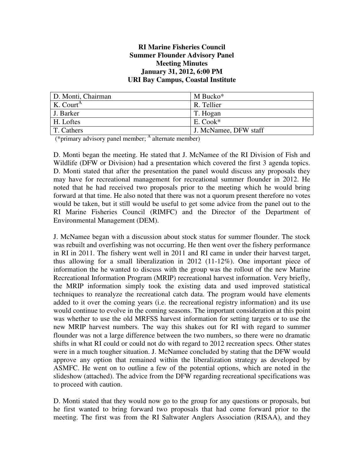#### **RI Marine Fisheries Council Summer Flounder Advisory Panel Meeting Minutes January 31, 2012, 6:00 PM URI Bay Campus, Coastal Institute**

| D. Monti, Chairman    | M Bucko <sup>*</sup>  |
|-----------------------|-----------------------|
| K. Court <sup>A</sup> | R. Tellier            |
| J. Barker             | T. Hogan              |
| H. Loftes             | $E$ . Cook*           |
| T. Cathers            | J. McNamee, DFW staff |

(\*primary advisory panel member; <sup>A</sup> alternate member)

D. Monti began the meeting. He stated that J. McNamee of the RI Division of Fish and Wildlife (DFW or Division) had a presentation which covered the first 3 agenda topics. D. Monti stated that after the presentation the panel would discuss any proposals they may have for recreational management for recreational summer flounder in 2012. He noted that he had received two proposals prior to the meeting which he would bring forward at that time. He also noted that there was not a quorum present therefore no votes would be taken, but it still would be useful to get some advice from the panel out to the RI Marine Fisheries Council (RIMFC) and the Director of the Department of Environmental Management (DEM).

J. McNamee began with a discussion about stock status for summer flounder. The stock was rebuilt and overfishing was not occurring. He then went over the fishery performance in RI in 2011. The fishery went well in 2011 and RI came in under their harvest target, thus allowing for a small liberalization in 2012 (11-12%). One important piece of information the he wanted to discuss with the group was the rollout of the new Marine Recreational Information Program (MRIP) recreational harvest information. Very briefly, the MRIP information simply took the existing data and used improved statistical techniques to reanalyze the recreational catch data. The program would have elements added to it over the coming years (i.e. the recreational registry information) and its use would continue to evolve in the coming seasons. The important consideration at this point was whether to use the old MRFSS harvest information for setting targets or to use the new MRIP harvest numbers. The way this shakes out for RI with regard to summer flounder was not a large difference between the two numbers, so there were no dramatic shifts in what RI could or could not do with regard to 2012 recreation specs. Other states were in a much tougher situation. J. McNamee concluded by stating that the DFW would approve any option that remained within the liberalization strategy as developed by ASMFC. He went on to outline a few of the potential options, which are noted in the slideshow (attached). The advice from the DFW regarding recreational specifications was to proceed with caution.

D. Monti stated that they would now go to the group for any questions or proposals, but he first wanted to bring forward two proposals that had come forward prior to the meeting. The first was from the RI Saltwater Anglers Association (RISAA), and they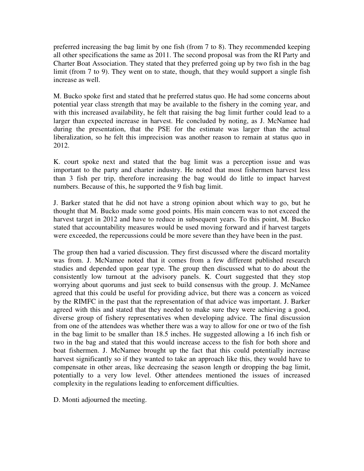preferred increasing the bag limit by one fish (from 7 to 8). They recommended keeping all other specifications the same as 2011. The second proposal was from the RI Party and Charter Boat Association. They stated that they preferred going up by two fish in the bag limit (from 7 to 9). They went on to state, though, that they would support a single fish increase as well.

M. Bucko spoke first and stated that he preferred status quo. He had some concerns about potential year class strength that may be available to the fishery in the coming year, and with this increased availability, he felt that raising the bag limit further could lead to a larger than expected increase in harvest. He concluded by noting, as J. McNamee had during the presentation, that the PSE for the estimate was larger than the actual liberalization, so he felt this imprecision was another reason to remain at status quo in 2012.

K. court spoke next and stated that the bag limit was a perception issue and was important to the party and charter industry. He noted that most fishermen harvest less than 3 fish per trip, therefore increasing the bag would do little to impact harvest numbers. Because of this, he supported the 9 fish bag limit.

J. Barker stated that he did not have a strong opinion about which way to go, but he thought that M. Bucko made some good points. His main concern was to not exceed the harvest target in 2012 and have to reduce in subsequent years. To this point, M. Bucko stated that accountability measures would be used moving forward and if harvest targets were exceeded, the repercussions could be more severe than they have been in the past.

The group then had a varied discussion. They first discussed where the discard mortality was from. J. McNamee noted that it comes from a few different published research studies and depended upon gear type. The group then discussed what to do about the consistently low turnout at the advisory panels. K. Court suggested that they stop worrying about quorums and just seek to build consensus with the group. J. McNamee agreed that this could be useful for providing advice, but there was a concern as voiced by the RIMFC in the past that the representation of that advice was important. J. Barker agreed with this and stated that they needed to make sure they were achieving a good, diverse group of fishery representatives when developing advice. The final discussion from one of the attendees was whether there was a way to allow for one or two of the fish in the bag limit to be smaller than 18.5 inches. He suggested allowing a 16 inch fish or two in the bag and stated that this would increase access to the fish for both shore and boat fishermen. J. McNamee brought up the fact that this could potentially increase harvest significantly so if they wanted to take an approach like this, they would have to compensate in other areas, like decreasing the season length or dropping the bag limit, potentially to a very low level. Other attendees mentioned the issues of increased complexity in the regulations leading to enforcement difficulties.

D. Monti adjourned the meeting.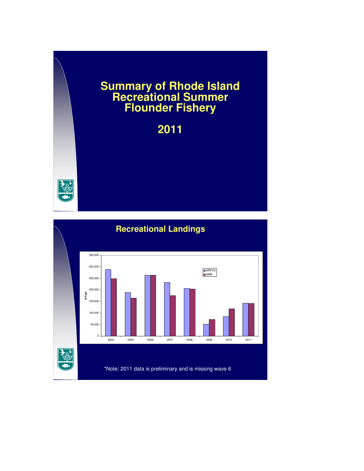## **Summary of Rhode Island Recreational Summer Flounder Fishery**

# **2011**



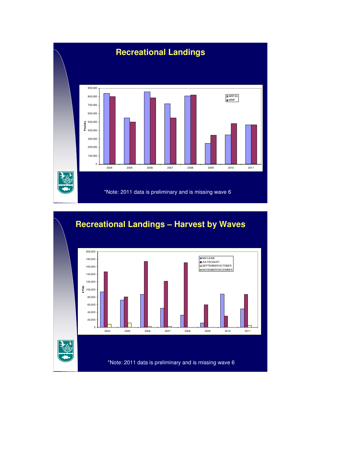

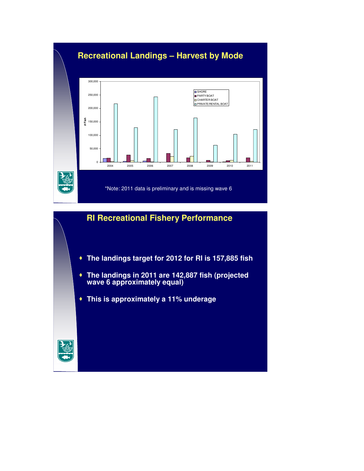

#### **RI Recreational Fishery Performance**

- **The landings target for 2012 for RI is 157,885 fish**
- **The landings in 2011 are 142,887 fish (projected wave 6 approximately equal)**
- **This is approximately a 11% underage**

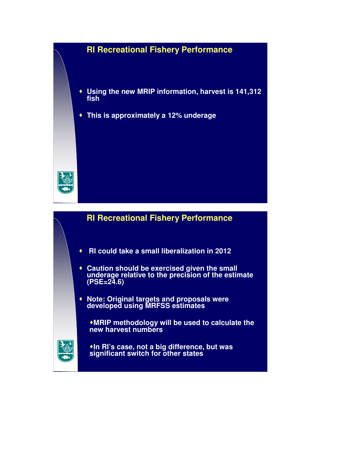#### **RI Recreational Fishery Performance**

- **Using the new MRIP information, harvest is 141,312 fish**
- **This is approximately a 12% underage**



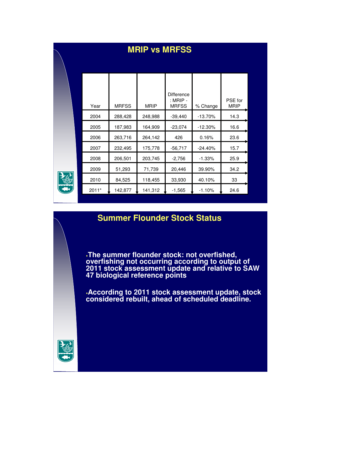| <b>MRIP vs MRFSS</b> |              |             |                                                 |            |                        |  |
|----------------------|--------------|-------------|-------------------------------------------------|------------|------------------------|--|
| Year                 | <b>MRFSS</b> | <b>MRIP</b> | <b>Difference</b><br>$:$ MRIP -<br><b>MRFSS</b> | % Change   | PSE for<br><b>MRIP</b> |  |
| 2004                 | 288,428      | 248,988     | $-39,440$                                       | $-13.70%$  | 14.3                   |  |
| 2005                 | 187,983      | 164,909     | $-23,074$                                       | $-12.30\%$ | 16.6                   |  |
| 2006                 | 263,716      | 264,142     | 426                                             | 0.16%      | 23.6                   |  |
| 2007                 | 232,495      | 175,778     | $-56,717$                                       | $-24.40%$  | 15.7                   |  |
| 2008                 | 206,501      | 203,745     | $-2,756$                                        | $-1.33%$   | 25.9                   |  |
| 2009                 | 51,293       | 71,739      | 20,446                                          | 39.90%     | 34.2                   |  |
| 2010                 | 84,525       | 118,455     | 33,930                                          | 40.10%     | 33                     |  |
| 2011*                | 142,877      | 141,312     | $-1,565$                                        | $-1.10%$   | 24.6                   |  |

#### **Summer Flounder Stock Status**

**The summer flounder stock: not overfished, overfishing not occurring according to output of 2011 stock assessment update and relative to SAW 47 biological reference points**

**According to 2011 stock assessment update, stock considered rebuilt, ahead of scheduled deadline.**

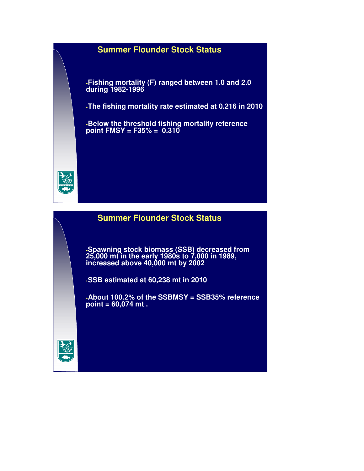#### **Summer Flounder Stock Status**

**Fishing mortality (F) ranged between 1.0 and 2.0 during 1982-1996**

**The fishing mortality rate estimated at 0.216 in 2010** 

**Below the threshold fishing mortality reference point FMSY = F35% = 0.310**



#### **Summer Flounder Stock Status**

**Spawning stock biomass (SSB) decreased from 25,000 mt in the early 1980s to 7,000 in 1989, increased above 40,000 mt by 2002**

**SSB estimated at 60,238 mt in 2010** 

**About 100.2% of the SSBMSY = SSB35% reference point = 60,074 mt .** 

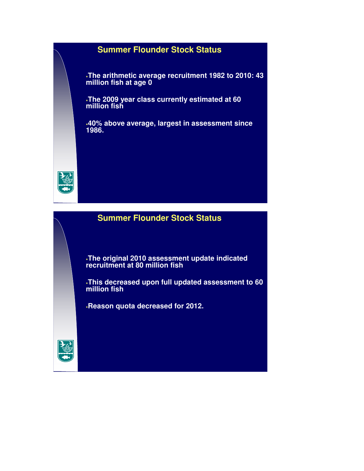#### **Summer Flounder Stock Status**

**The arithmetic average recruitment 1982 to 2010: 43 million fish at age 0** 

**The 2009 year class currently estimated at 60 million fish**

**40% above average, largest in assessment since 1986.** 



### **Summer Flounder Stock Status**

**The original 2010 assessment update indicated recruitment at 80 million fish** 

**This decreased upon full updated assessment to 60 million fish**

**Reason quota decreased for 2012.** 

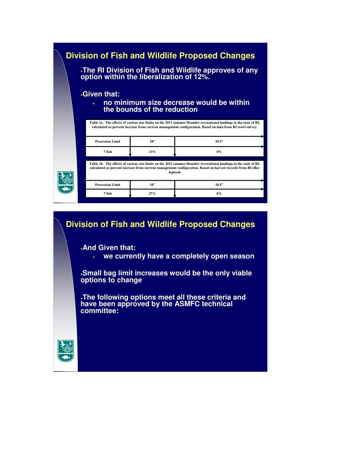| <b>Division of Fish and Wildlife Proposed Changes</b><br>The RI Division of Fish and Wildlife approves of any<br>option within the liberalization of 12%. |                                                                                                                                                                                                                                 |                                                                                                                                                                                                                                              |       |  |  |  |
|-----------------------------------------------------------------------------------------------------------------------------------------------------------|---------------------------------------------------------------------------------------------------------------------------------------------------------------------------------------------------------------------------------|----------------------------------------------------------------------------------------------------------------------------------------------------------------------------------------------------------------------------------------------|-------|--|--|--|
| <b>Given that:</b><br>no minimum size decrease would be within<br>$\bullet$<br>the bounds of the reduction                                                |                                                                                                                                                                                                                                 |                                                                                                                                                                                                                                              |       |  |  |  |
|                                                                                                                                                           | Table 1a. The effects of various size limits on the 2011 summer flounder recreational landings in the state of RI,<br>calculated as percent increase from current management configuration. Based on data from RI trawl survey. |                                                                                                                                                                                                                                              |       |  |  |  |
|                                                                                                                                                           | <b>Possession Limit</b>                                                                                                                                                                                                         | 18.5"                                                                                                                                                                                                                                        |       |  |  |  |
|                                                                                                                                                           | 7 fish                                                                                                                                                                                                                          | 13%                                                                                                                                                                                                                                          | $0\%$ |  |  |  |
|                                                                                                                                                           |                                                                                                                                                                                                                                 | Table 1b. The effects of various size limits on the 2011 summer flounder recreational landings in the state of RI,<br>calculated as percent increase from current management configuration. Based on harvest records from RI eRec<br>logbook |       |  |  |  |
|                                                                                                                                                           | <b>Possession Limit</b>                                                                                                                                                                                                         | 18"                                                                                                                                                                                                                                          | 18.5" |  |  |  |
|                                                                                                                                                           | 7 fish                                                                                                                                                                                                                          | 27%                                                                                                                                                                                                                                          | $0\%$ |  |  |  |

## **Division of Fish and Wildlife Proposed Changes**

**And Given that:** 

**we currently have a completely open season** 

**Small bag limit increases would be the only viable options to change**

**The following options meet all these criteria and have been approved by the ASMFC technical committee:**

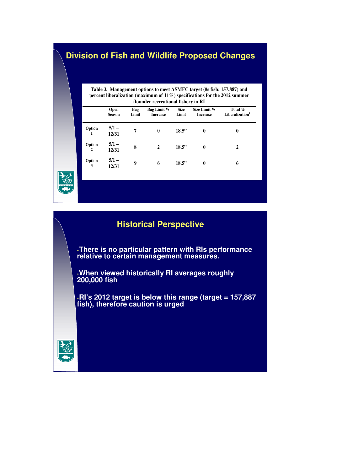#### **Division of Fish and Wildlife Proposed Changes**

**Table 3. Management options to meet ASMFC target (#s fish; 157,887) and percent liberalization (maximum of 11%) specifications for the 2012 summer flounder recreational fishery in RI** 

|                          | Open<br><b>Season</b> | Bag<br>Limit | Bag Limit %<br><b>Increase</b> | <b>Size</b><br>Limit | Size Limit %<br><b>Increase</b> | Total %<br>Liberalization <sup>1</sup> |
|--------------------------|-----------------------|--------------|--------------------------------|----------------------|---------------------------------|----------------------------------------|
| Option<br>1              | $5/1 -$<br>12/31      | 7            | $\bf{0}$                       | 18.5"                | $\mathbf{0}$                    | 0                                      |
| Option<br>$\overline{2}$ | $5/1 -$<br>12/31      | 8            | $\mathbf{2}$                   | 18.5"                | $\mathbf{0}$                    | 2                                      |
| Option<br>3              | $5/1 -$<br>12/31      | 9            | 6                              | 18.5"                | $\mathbf{0}$                    | 6                                      |

## **Historical Perspective**

**There is no particular pattern with RIs performance relative to certain management measures.** 

**When viewed historically RI averages roughly 200,000 fish**

**RI's 2012 target is below this range (target = 157,887 fish), therefore caution is urged**

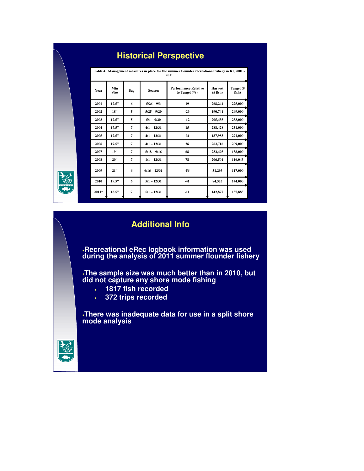|       |                    |                |                | Table 4. Management measures in place for the summer flounder recreational fishery in RI, 2001 -<br>2011 |                                  |                    |
|-------|--------------------|----------------|----------------|----------------------------------------------------------------------------------------------------------|----------------------------------|--------------------|
| Year  | Min<br><b>Size</b> | Bag            | <b>Season</b>  | <b>Performance Relative</b><br>to Target $(\%)$                                                          | <b>Harvest</b><br>$($ # fish $)$ | Target (#<br>fish) |
| 2001  | 17.5"              | 6              | $5/26 - 9/3$   | 19                                                                                                       | 268,244                          | 225,000            |
| 2002  | 18"                | 5              | $5/25 - 9/20$  | $-23$                                                                                                    | 190,741                          | 249,000            |
| 2003  | 17.5"              | 5              | $5/1 - 9/20$   | $-12$                                                                                                    | 205,435                          | 233,000            |
| 2004  | 17.5"              | 7              | $4/1 - 12/31$  | 15                                                                                                       | 288,428                          | 251,000            |
| 2005  | 17.5"              | 7              | $4/1 - 12/31$  | $-31$                                                                                                    | 187,983                          | 271,000            |
| 2006  | 17.5"              | $\overline{7}$ | $4/1 - 12/31$  | 26                                                                                                       | 263,716                          | 209,000            |
| 2007  | 19"                | $\overline{7}$ | $5/18 - 9/16$  | 68                                                                                                       | 232,495                          | 138,000            |
| 2008  | 20"                | $\overline{7}$ | $1/1 - 12/31$  | 78                                                                                                       | 206,501                          | 116,043            |
| 2009  | 21"                | 6              | $6/16 - 12/31$ | $-56$                                                                                                    | 51,293                           | 117.000            |
| 2010  | 19.5"              | 6              | $5/1 - 12/31$  | $-41$                                                                                                    | 84,525                           | 144,000            |
| 2011* | 18.5"              | $\overline{7}$ | $5/1 - 12/31$  | $-11$                                                                                                    | 142,877                          | 157,885            |

## **Historical Perspective**

#### **Additional Info**

**Recreational eRec logbook information was used during the analysis of 2011 summer flounder fishery**

**The sample size was much better than in 2010, but did not capture any shore mode fishing**

- **1817 fish recorded**
- **372 trips recorded**

**There was inadequate data for use in a split shore mode analysis**